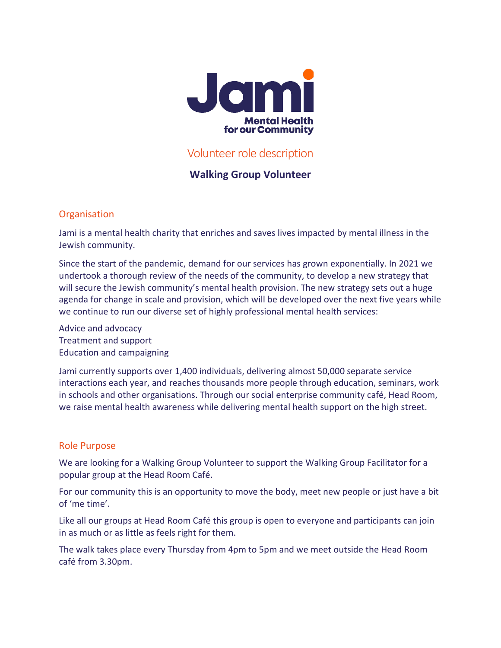

# Volunteer role description

## **Walking Group Volunteer**

## **Organisation**

Jami is a mental health charity that enriches and saves lives impacted by mental illness in the Jewish community.

Since the start of the pandemic, demand for our services has grown exponentially. In 2021 we undertook a thorough review of the needs of the community, to develop a new strategy that will secure the Jewish community's mental health provision. The new strategy sets out a huge agenda for change in scale and provision, which will be developed over the next five years while we continue to run our diverse set of highly professional mental health services:

Advice and advocacy Treatment and support Education and campaigning

Jami currently supports over 1,400 individuals, delivering almost 50,000 separate service interactions each year, and reaches thousands more people through education, seminars, work in schools and other organisations. Through our social enterprise community café, Head Room, we raise mental health awareness while delivering mental health support on the high street.

### Role Purpose

We are looking for a Walking Group Volunteer to support the Walking Group Facilitator for a popular group at the Head Room Café.

For our community this is an opportunity to move the body, meet new people or just have a bit of 'me time'.

Like all our groups at Head Room Café this group is open to everyone and participants can join in as much or as little as feels right for them.

The walk takes place every Thursday from 4pm to 5pm and we meet outside the Head Room café from 3.30pm.